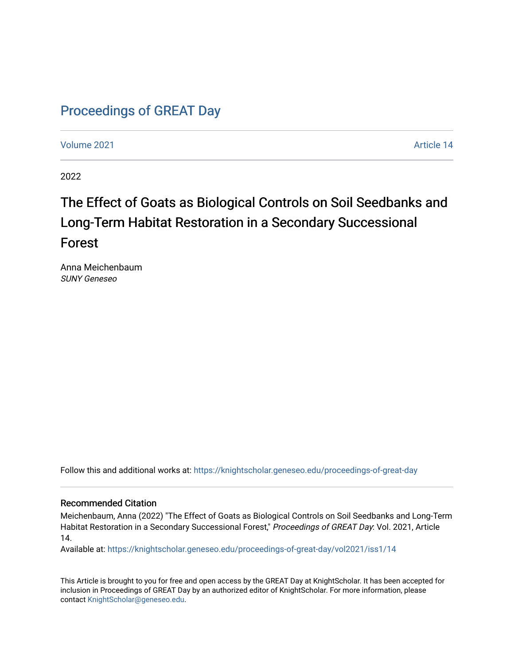## [Proceedings of GREAT Day](https://knightscholar.geneseo.edu/proceedings-of-great-day)

[Volume 2021](https://knightscholar.geneseo.edu/proceedings-of-great-day/vol2021) [Article 14](https://knightscholar.geneseo.edu/proceedings-of-great-day/vol2021/iss1/14) 

2022

## The Effect of Goats as Biological Controls on Soil Seedbanks and Long-Term Habitat Restoration in a Secondary Successional Forest

Anna Meichenbaum SUNY Geneseo

Follow this and additional works at: [https://knightscholar.geneseo.edu/proceedings-of-great-day](https://knightscholar.geneseo.edu/proceedings-of-great-day?utm_source=knightscholar.geneseo.edu%2Fproceedings-of-great-day%2Fvol2021%2Fiss1%2F14&utm_medium=PDF&utm_campaign=PDFCoverPages) 

#### Recommended Citation

Meichenbaum, Anna (2022) "The Effect of Goats as Biological Controls on Soil Seedbanks and Long-Term Habitat Restoration in a Secondary Successional Forest," Proceedings of GREAT Day: Vol. 2021, Article 14.

Available at: [https://knightscholar.geneseo.edu/proceedings-of-great-day/vol2021/iss1/14](https://knightscholar.geneseo.edu/proceedings-of-great-day/vol2021/iss1/14?utm_source=knightscholar.geneseo.edu%2Fproceedings-of-great-day%2Fvol2021%2Fiss1%2F14&utm_medium=PDF&utm_campaign=PDFCoverPages)

This Article is brought to you for free and open access by the GREAT Day at KnightScholar. It has been accepted for inclusion in Proceedings of GREAT Day by an authorized editor of KnightScholar. For more information, please contact [KnightScholar@geneseo.edu.](mailto:KnightScholar@geneseo.edu)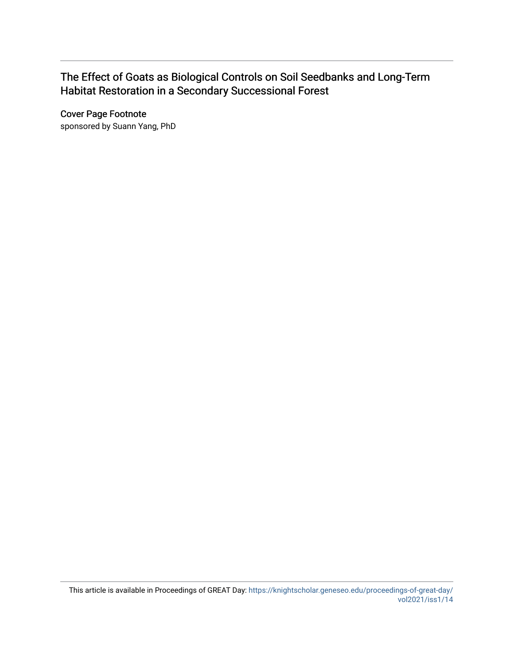#### The Effect of Goats as Biological Controls on Soil Seedbanks and Long-Term Habitat Restoration in a Secondary Successional Forest

Cover Page Footnote

sponsored by Suann Yang, PhD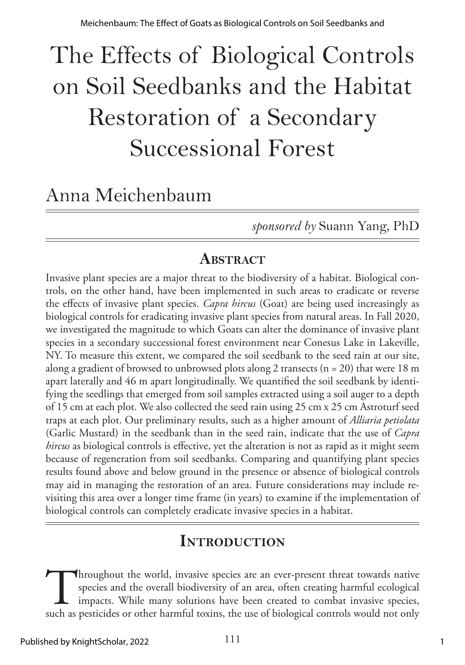# The Effects of Biological Controls on Soil Seedbanks and the Habitat Restoration of a Secondary Successional Forest

# Anna Meichenbaum

*sponsored by* Suann Yang, PhD

#### **ABSTRACT**

Invasive plant species are a major threat to the biodiversity of a habitat. Biological controls, on the other hand, have been implemented in such areas to eradicate or reverse the effects of invasive plant species. *Capra hircus* (Goat) are being used increasingly as biological controls for eradicating invasive plant species from natural areas. In Fall 2020, we investigated the magnitude to which Goats can alter the dominance of invasive plant species in a secondary successional forest environment near Conesus Lake in Lakeville, NY. To measure this extent, we compared the soil seedbank to the seed rain at our site, along a gradient of browsed to unbrowsed plots along 2 transects ( $n = 20$ ) that were 18 m apart laterally and 46 m apart longitudinally. We quantified the soil seedbank by identifying the seedlings that emerged from soil samples extracted using a soil auger to a depth of 15 cm at each plot. We also collected the seed rain using 25 cm x 25 cm Astroturf seed traps at each plot. Our preliminary results, such as a higher amount of *Alliaria petiolata* (Garlic Mustard) in the seedbank than in the seed rain, indicate that the use of *Capra hircus* as biological controls is effective, yet the alteration is not as rapid as it might seem because of regeneration from soil seedbanks. Comparing and quantifying plant species results found above and below ground in the presence or absence of biological controls may aid in managing the restoration of an area. Future considerations may include revisiting this area over a longer time frame (in years) to examine if the implementation of biological controls can completely eradicate invasive species in a habitat.

### **Introduction**

Throughout the world, invasive species are an ever-present threat towards native species and the overall biodiversity of an area, often creating harmful ecological impacts. While many solutions have been created to combat species and the overall biodiversity of an area, often creating harmful ecological impacts. While many solutions have been created to combat invasive species, such as pesticides or other harmful toxins, the use of biological controls would not only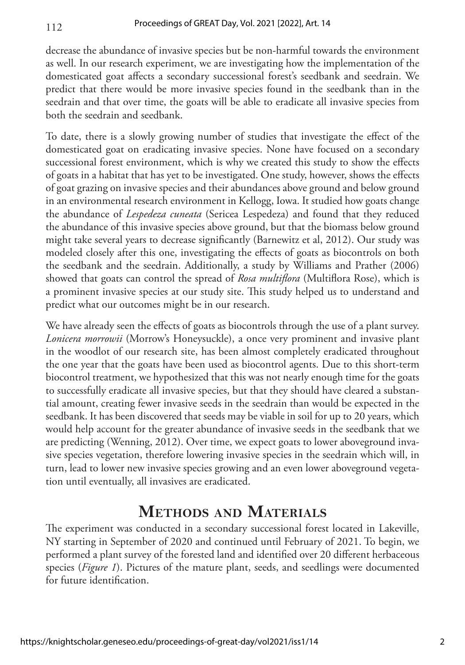112

decrease the abundance of invasive species but be non-harmful towards the environment as well. In our research experiment, we are investigating how the implementation of the domesticated goat affects a secondary successional forest's seedbank and seedrain. We predict that there would be more invasive species found in the seedbank than in the seedrain and that over time, the goats will be able to eradicate all invasive species from both the seedrain and seedbank.

To date, there is a slowly growing number of studies that investigate the effect of the domesticated goat on eradicating invasive species. None have focused on a secondary successional forest environment, which is why we created this study to show the effects of goats in a habitat that has yet to be investigated. One study, however, shows the effects of goat grazing on invasive species and their abundances above ground and below ground in an environmental research environment in Kellogg, Iowa. It studied how goats change the abundance of *Lespedeza cuneata* (Sericea Lespedeza) and found that they reduced the abundance of this invasive species above ground, but that the biomass below ground might take several years to decrease significantly (Barnewitz et al, 2012). Our study was modeled closely after this one, investigating the effects of goats as biocontrols on both the seedbank and the seedrain. Additionally, a study by Williams and Prather (2006) showed that goats can control the spread of *Rosa multiflora* (Multiflora Rose), which is a prominent invasive species at our study site. This study helped us to understand and predict what our outcomes might be in our research.

We have already seen the effects of goats as biocontrols through the use of a plant survey. *Lonicera morrowii* (Morrow's Honeysuckle), a once very prominent and invasive plant in the woodlot of our research site, has been almost completely eradicated throughout the one year that the goats have been used as biocontrol agents. Due to this short-term biocontrol treatment, we hypothesized that this was not nearly enough time for the goats to successfully eradicate all invasive species, but that they should have cleared a substantial amount, creating fewer invasive seeds in the seedrain than would be expected in the seedbank. It has been discovered that seeds may be viable in soil for up to 20 years, which would help account for the greater abundance of invasive seeds in the seedbank that we are predicting (Wenning, 2012). Over time, we expect goats to lower aboveground invasive species vegetation, therefore lowering invasive species in the seedrain which will, in turn, lead to lower new invasive species growing and an even lower aboveground vegetation until eventually, all invasives are eradicated.

### **Methods and Materials**

The experiment was conducted in a secondary successional forest located in Lakeville, NY starting in September of 2020 and continued until February of 2021. To begin, we performed a plant survey of the forested land and identified over 20 different herbaceous species (*Figure 1*). Pictures of the mature plant, seeds, and seedlings were documented for future identification.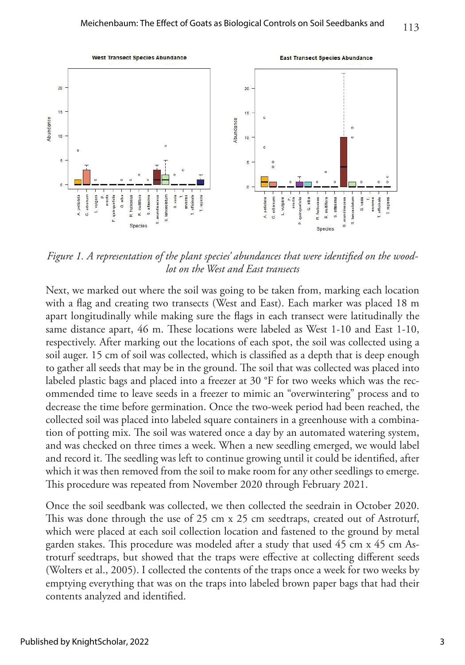

*Figure 1. A representation of the plant species' abundances that were identified on the woodlot on the West and East transects*

Next, we marked out where the soil was going to be taken from, marking each location with a flag and creating two transects (West and East). Each marker was placed 18 m apart longitudinally while making sure the flags in each transect were latitudinally the same distance apart, 46 m. These locations were labeled as West 1-10 and East 1-10, respectively. After marking out the locations of each spot, the soil was collected using a soil auger. 15 cm of soil was collected, which is classified as a depth that is deep enough to gather all seeds that may be in the ground. The soil that was collected was placed into labeled plastic bags and placed into a freezer at 30 °F for two weeks which was the recommended time to leave seeds in a freezer to mimic an "overwintering" process and to decrease the time before germination. Once the two-week period had been reached, the collected soil was placed into labeled square containers in a greenhouse with a combination of potting mix. The soil was watered once a day by an automated watering system, and was checked on three times a week. When a new seedling emerged, we would label and record it. The seedling was left to continue growing until it could be identified, after which it was then removed from the soil to make room for any other seedlings to emerge. This procedure was repeated from November 2020 through February 2021.

Once the soil seedbank was collected, we then collected the seedrain in October 2020. This was done through the use of 25 cm x 25 cm seedtraps, created out of Astroturf, which were placed at each soil collection location and fastened to the ground by metal garden stakes. This procedure was modeled after a study that used 45 cm x 45 cm Astroturf seedtraps, but showed that the traps were effective at collecting different seeds (Wolters et al., 2005). I collected the contents of the traps once a week for two weeks by emptying everything that was on the traps into labeled brown paper bags that had their contents analyzed and identified.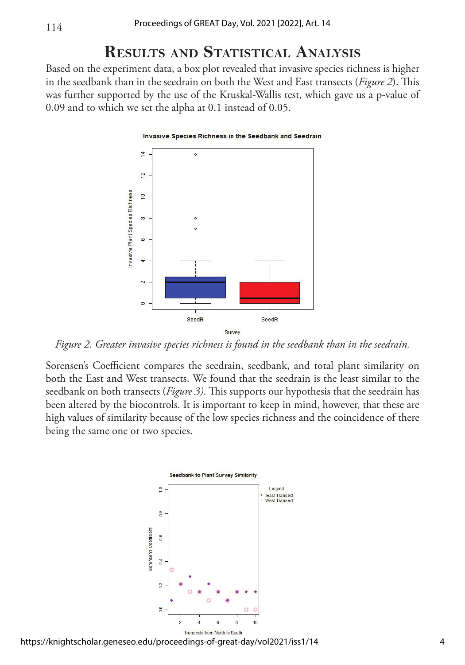114

#### **Results and Statistical Analysis**

Based on the experiment data, a box plot revealed that invasive species richness is higher in the seedbank than in the seedrain on both the West and East transects (*Figure 2*). This was further supported by the use of the Kruskal-Wallis test, which gave us a p-value of 0.09 and to which we set the alpha at 0.1 instead of 0.05.

#### Invasive Species Richness in the Seedbank and Seedrain



*Figure 2. Greater invasive species richness is found in the seedbank than in the seedrain.* 

Sorensen's Coefficient compares the seedrain, seedbank, and total plant similarity on both the East and West transects. We found that the seedrain is the least similar to the seedbank on both transects (*Figure 3)*. This supports our hypothesis that the seedrain has been altered by the biocontrols. It is important to keep in mind, however, that these are high values of similarity because of the low species richness and the coincidence of there being the same one or two species.

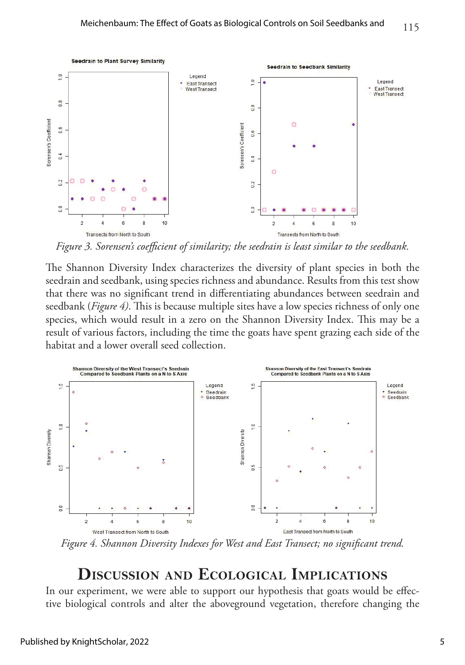

*Figure 3. Sorensen's coefficient of similarity; the seedrain is least similar to the seedbank.*

The Shannon Diversity Index characterizes the diversity of plant species in both the seedrain and seedbank, using species richness and abundance. Results from this test show that there was no significant trend in differentiating abundances between seedrain and seedbank (*Figure 4)*. This is because multiple sites have a low species richness of only one species, which would result in a zero on the Shannon Diversity Index. This may be a result of various factors, including the time the goats have spent grazing each side of the habitat and a lower overall seed collection.



*Figure 4. Shannon Diversity Indexes for West and East Transect; no significant trend.*

#### **Discussion and Ecological Implications**

In our experiment, we were able to support our hypothesis that goats would be effective biological controls and alter the aboveground vegetation, therefore changing the